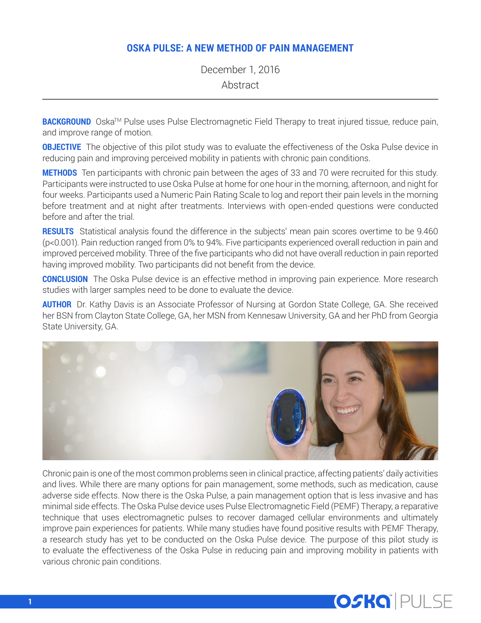# **OSKA PULSE: A NEW METHOD OF PAIN MANAGEMENT**

December 1, 2016 Abstract

**BACKGROUND** Oska<sup>™</sup> Pulse uses Pulse Electromagnetic Field Therapy to treat injured tissue, reduce pain, and improve range of motion.

**OBJECTIVE** The objective of this pilot study was to evaluate the effectiveness of the Oska Pulse device in reducing pain and improving perceived mobility in patients with chronic pain conditions.

**METHODS** Ten participants with chronic pain between the ages of 33 and 70 were recruited for this study. Participants were instructed to use Oska Pulse at home for one hour in the morning, afternoon, and night for four weeks. Participants used a Numeric Pain Rating Scale to log and report their pain levels in the morning before treatment and at night after treatments. Interviews with open-ended questions were conducted before and after the trial.

**RESULTS** Statistical analysis found the difference in the subjects' mean pain scores overtime to be 9.460 (p<0.001). Pain reduction ranged from 0% to 94%. Five participants experienced overall reduction in pain and improved perceived mobility. Three of the five participants who did not have overall reduction in pain reported having improved mobility. Two participants did not benefit from the device.

**CONCLUSION** The Oska Pulse device is an effective method in improving pain experience. More research studies with larger samples need to be done to evaluate the device.

**AUTHOR** Dr. Kathy Davis is an Associate Professor of Nursing at Gordon State College, GA. She received her BSN from Clayton State College, GA, her MSN from Kennesaw University, GA and her PhD from Georgia State University, GA.



Chronic pain is one of the most common problems seen in clinical practice, affecting patients' daily activities and lives. While there are many options for pain management, some methods, such as medication, cause adverse side effects. Now there is the Oska Pulse, a pain management option that is less invasive and has minimal side effects. The Oska Pulse device uses Pulse Electromagnetic Field (PEMF) Therapy, a reparative technique that uses electromagnetic pulses to recover damaged cellular environments and ultimately improve pain experiences for patients. While many studies have found positive results with PEMF Therapy, a research study has yet to be conducted on the Oska Pulse device. The purpose of this pilot study is to evaluate the effectiveness of the Oska Pulse in reducing pain and improving mobility in patients with various chronic pain conditions.

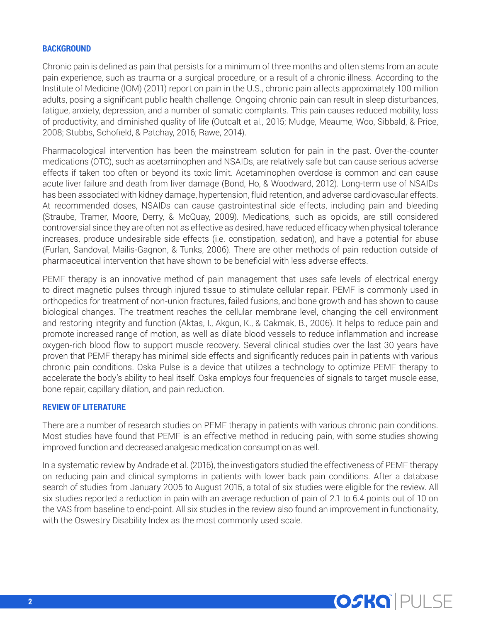#### **BACKGROUND**

Chronic pain is defined as pain that persists for a minimum of three months and often stems from an acute pain experience, such as trauma or a surgical procedure, or a result of a chronic illness. According to the Institute of Medicine (IOM) (2011) report on pain in the U.S., chronic pain affects approximately 100 million adults, posing a significant public health challenge. Ongoing chronic pain can result in sleep disturbances, fatigue, anxiety, depression, and a number of somatic complaints. This pain causes reduced mobility, loss of productivity, and diminished quality of life (Outcalt et al., 2015; Mudge, Meaume, Woo, Sibbald, & Price, 2008; Stubbs, Schofield, & Patchay, 2016; Rawe, 2014).

Pharmacological intervention has been the mainstream solution for pain in the past. Over-the-counter medications (OTC), such as acetaminophen and NSAIDs, are relatively safe but can cause serious adverse effects if taken too often or beyond its toxic limit. Acetaminophen overdose is common and can cause acute liver failure and death from liver damage (Bond, Ho, & Woodward, 2012). Long-term use of NSAIDs has been associated with kidney damage, hypertension, fluid retention, and adverse cardiovascular effects. At recommended doses, NSAIDs can cause gastrointestinal side effects, including pain and bleeding (Straube, Tramer, Moore, Derry, & McQuay, 2009). Medications, such as opioids, are still considered controversial since they are often not as effective as desired, have reduced efficacy when physical tolerance increases, produce undesirable side effects (i.e. constipation, sedation), and have a potential for abuse (Furlan, Sandoval, Mailis-Gagnon, & Tunks, 2006). There are other methods of pain reduction outside of pharmaceutical intervention that have shown to be beneficial with less adverse effects.

PEMF therapy is an innovative method of pain management that uses safe levels of electrical energy to direct magnetic pulses through injured tissue to stimulate cellular repair. PEMF is commonly used in orthopedics for treatment of non-union fractures, failed fusions, and bone growth and has shown to cause biological changes. The treatment reaches the cellular membrane level, changing the cell environment and restoring integrity and function (Aktas, I., Akgun, K., & Cakmak, B., 2006). It helps to reduce pain and promote increased range of motion, as well as dilate blood vessels to reduce inflammation and increase oxygen-rich blood flow to support muscle recovery. Several clinical studies over the last 30 years have proven that PEMF therapy has minimal side effects and significantly reduces pain in patients with various chronic pain conditions. Oska Pulse is a device that utilizes a technology to optimize PEMF therapy to accelerate the body's ability to heal itself. Oska employs four frequencies of signals to target muscle ease, bone repair, capillary dilation, and pain reduction.

#### **REVIEW OF LITERATURE**

There are a number of research studies on PEMF therapy in patients with various chronic pain conditions. Most studies have found that PEMF is an effective method in reducing pain, with some studies showing improved function and decreased analgesic medication consumption as well.

In a systematic review by Andrade et al. (2016), the investigators studied the effectiveness of PEMF therapy on reducing pain and clinical symptoms in patients with lower back pain conditions. After a database search of studies from January 2005 to August 2015, a total of six studies were eligible for the review. All six studies reported a reduction in pain with an average reduction of pain of 2.1 to 6.4 points out of 10 on the VAS from baseline to end-point. All six studies in the review also found an improvement in functionality, with the Oswestry Disability Index as the most commonly used scale.

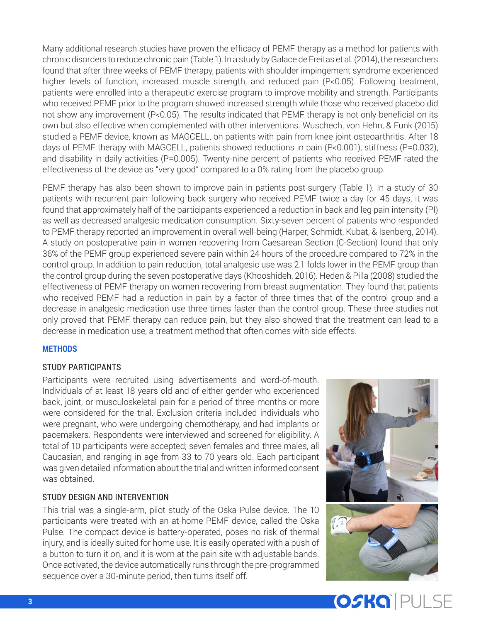Many additional research studies have proven the efficacy of PEMF therapy as a method for patients with chronic disorders to reduce chronic pain (Table 1). In a study by Galace de Freitas et al. (2014), the researchers found that after three weeks of PEMF therapy, patients with shoulder impingement syndrome experienced higher levels of function, increased muscle strength, and reduced pain (P<0.05). Following treatment, patients were enrolled into a therapeutic exercise program to improve mobility and strength. Participants who received PEMF prior to the program showed increased strength while those who received placebo did not show any improvement (P<0.05). The results indicated that PEMF therapy is not only beneficial on its own but also effective when complemented with other interventions. Wuschech, von Hehn, & Funk (2015) studied a PEMF device, known as MAGCELL, on patients with pain from knee joint osteoarthritis. After 18 days of PEMF therapy with MAGCELL, patients showed reductions in pain (P<0.001), stiffness (P=0.032), and disability in daily activities (P=0.005). Twenty-nine percent of patients who received PEMF rated the effectiveness of the device as "very good" compared to a 0% rating from the placebo group.

PEMF therapy has also been shown to improve pain in patients post-surgery (Table 1). In a study of 30 patients with recurrent pain following back surgery who received PEMF twice a day for 45 days, it was found that approximately half of the participants experienced a reduction in back and leg pain intensity (PI) as well as decreased analgesic medication consumption. Sixty-seven percent of patients who responded to PEMF therapy reported an improvement in overall well-being (Harper, Schmidt, Kubat, & Isenberg, 2014). A study on postoperative pain in women recovering from Caesarean Section (C-Section) found that only 36% of the PEMF group experienced severe pain within 24 hours of the procedure compared to 72% in the control group. In addition to pain reduction, total analgesic use was 2.1 folds lower in the PEMF group than the control group during the seven postoperative days (Khooshideh, 2016). Heden & Pilla (2008) studied the effectiveness of PEMF therapy on women recovering from breast augmentation. They found that patients who received PEMF had a reduction in pain by a factor of three times that of the control group and a decrease in analgesic medication use three times faster than the control group. These three studies not only proved that PEMF therapy can reduce pain, but they also showed that the treatment can lead to a decrease in medication use, a treatment method that often comes with side effects.

## **METHODS**

### STUDY PARTICIPANTS

Participants were recruited using advertisements and word-of-mouth. Individuals of at least 18 years old and of either gender who experienced back, joint, or musculoskeletal pain for a period of three months or more were considered for the trial. Exclusion criteria included individuals who were pregnant, who were undergoing chemotherapy, and had implants or pacemakers. Respondents were interviewed and screened for eligibility. A total of 10 participants were accepted; seven females and three males, all Caucasian, and ranging in age from 33 to 70 years old. Each participant was given detailed information about the trial and written informed consent was obtained.

### STUDY DESIGN AND INTERVENTION

This trial was a single-arm, pilot study of the Oska Pulse device. The 10 participants were treated with an at-home PEMF device, called the Oska Pulse. The compact device is battery-operated, poses no risk of thermal injury, and is ideally suited for home use. It is easily operated with a push of a button to turn it on, and it is worn at the pain site with adjustable bands. Once activated, the device automatically runs through the pre-programmed sequence over a 30-minute period, then turns itself off.



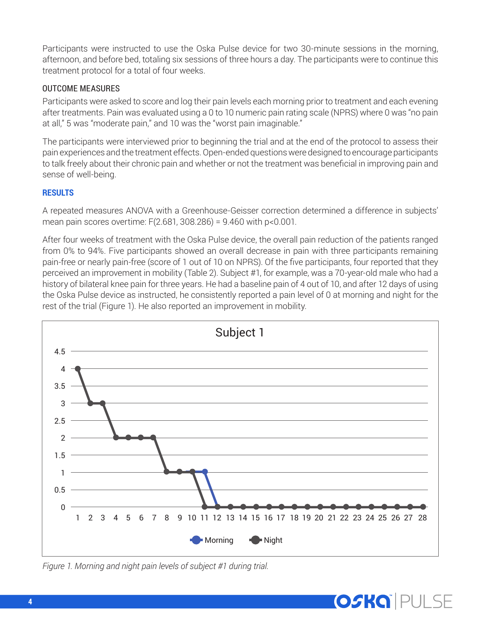Participants were instructed to use the Oska Pulse device for two 30-minute sessions in the morning, afternoon, and before bed, totaling six sessions of three hours a day. The participants were to continue this treatment protocol for a total of four weeks.

# OUTCOME MEASURES

Participants were asked to score and log their pain levels each morning prior to treatment and each evening after treatments. Pain was evaluated using a 0 to 10 numeric pain rating scale (NPRS) where 0 was "no pain at all," 5 was "moderate pain," and 10 was the "worst pain imaginable."

The participants were interviewed prior to beginning the trial and at the end of the protocol to assess their pain experiences and the treatment effects. Open-ended questions were designed to encourage participants to talk freely about their chronic pain and whether or not the treatment was beneficial in improving pain and sense of well-being.

## **RESULTS**

A repeated measures ANOVA with a Greenhouse-Geisser correction determined a difference in subjects' mean pain scores overtime: F(2.681, 308.286) = 9.460 with p<0.001.

After four weeks of treatment with the Oska Pulse device, the overall pain reduction of the patients ranged from 0% to 94%. Five participants showed an overall decrease in pain with three participants remaining pain-free or nearly pain-free (score of 1 out of 10 on NPRS). Of the five participants, four reported that they perceived an improvement in mobility (Table 2). Subject #1, for example, was a 70-year-old male who had a history of bilateral knee pain for three years. He had a baseline pain of 4 out of 10, and after 12 days of using the Oska Pulse device as instructed, he consistently reported a pain level of 0 at morning and night for the rest of the trial (Figure 1). He also reported an improvement in mobility.



 $\mathbb{S}^1$  subject  $\mathbb{S}^1$ 

*Figure 1. Morning and night pain levels of subject #1 during trial.*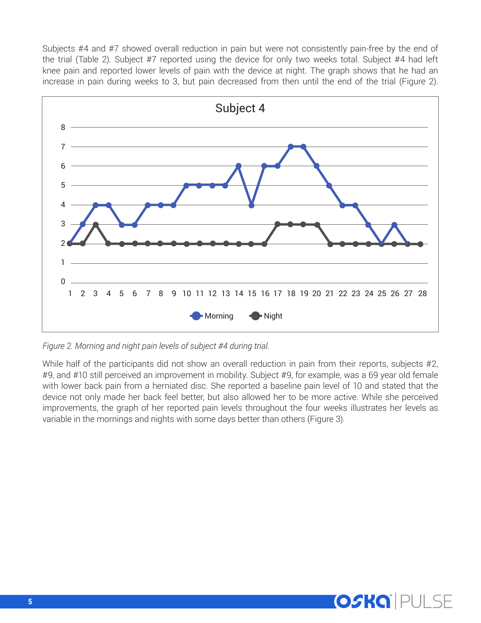Subjects #4 and #7 showed overall reduction in pain but were not consistently pain-free by the end of the trial (Table 2). Subject #7 reported using the device for only two weeks total. Subject #4 had left knee pain and reported lower levels of pain with the device at night. The graph shows that he had an increase in pain during weeks to 3, but pain decreased from then until the end of the trial (Figure 2).



*Figure 2. Morning and night pain levels of subject #4 during trial.*

While half of the participants did not show an overall reduction in pain from their reports, subjects #2, #9, and #10 still perceived an improvement in mobility. Subject #9, for example, was a 69 year old female with lower back pain from a herniated disc. She reported a baseline pain level of 10 and stated that the device not only made her back feel better, but also allowed her to be more active. While she perceived improvements, the graph of her reported pain levels throughout the four weeks illustrates her levels as variable in the mornings and nights with some days better than others (Figure 3).

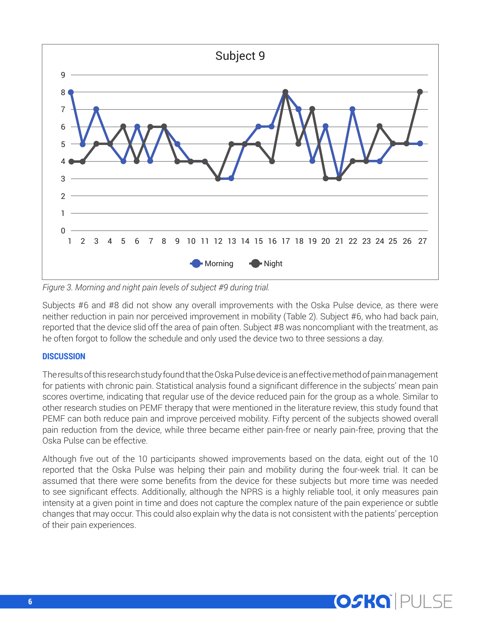

*Figure 3. Morning and night pain levels of subject #9 during trial.*

Subjects #6 and #8 did not show any overall improvements with the Oska Pulse device, as there were neither reduction in pain nor perceived improvement in mobility (Table 2). Subject #6, who had back pain, reported that the device slid off the area of pain often. Subject #8 was noncompliant with the treatment, as he often forgot to follow the schedule and only used the device two to three sessions a day.

### **DISCUSSION**

The results of this research study found that the Oska Pulse device is an effective method of pain management for patients with chronic pain. Statistical analysis found a significant difference in the subjects' mean pain scores overtime, indicating that regular use of the device reduced pain for the group as a whole. Similar to other research studies on PEMF therapy that were mentioned in the literature review, this study found that PEMF can both reduce pain and improve perceived mobility. Fifty percent of the subjects showed overall pain reduction from the device, while three became either pain-free or nearly pain-free, proving that the Oska Pulse can be effective.

Although five out of the 10 participants showed improvements based on the data, eight out of the 10 reported that the Oska Pulse was helping their pain and mobility during the four-week trial. It can be assumed that there were some benefits from the device for these subjects but more time was needed to see significant effects. Additionally, although the NPRS is a highly reliable tool, it only measures pain intensity at a given point in time and does not capture the complex nature of the pain experience or subtle changes that may occur. This could also explain why the data is not consistent with the patients' perception of their pain experiences.

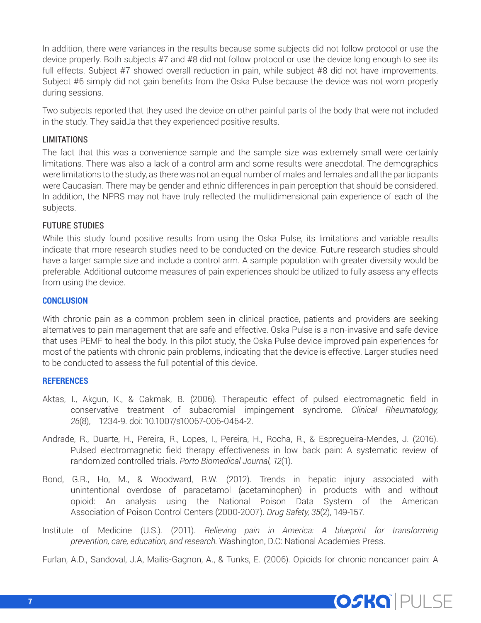In addition, there were variances in the results because some subjects did not follow protocol or use the device properly. Both subjects #7 and #8 did not follow protocol or use the device long enough to see its full effects. Subject #7 showed overall reduction in pain, while subject #8 did not have improvements. Subject #6 simply did not gain benefits from the Oska Pulse because the device was not worn properly during sessions.

Two subjects reported that they used the device on other painful parts of the body that were not included in the study. They saidJa that they experienced positive results.

### LIMITATIONS

The fact that this was a convenience sample and the sample size was extremely small were certainly limitations. There was also a lack of a control arm and some results were anecdotal. The demographics were limitations to the study, as there was not an equal number of males and females and all the participants were Caucasian. There may be gender and ethnic differences in pain perception that should be considered. In addition, the NPRS may not have truly reflected the multidimensional pain experience of each of the subjects.

### FUTURE STUDIES

While this study found positive results from using the Oska Pulse, its limitations and variable results indicate that more research studies need to be conducted on the device. Future research studies should have a larger sample size and include a control arm. A sample population with greater diversity would be preferable. Additional outcome measures of pain experiences should be utilized to fully assess any effects from using the device.

### **CONCLUSION**

With chronic pain as a common problem seen in clinical practice, patients and providers are seeking alternatives to pain management that are safe and effective. Oska Pulse is a non-invasive and safe device that uses PEMF to heal the body. In this pilot study, the Oska Pulse device improved pain experiences for most of the patients with chronic pain problems, indicating that the device is effective. Larger studies need to be conducted to assess the full potential of this device.

#### **REFERENCES**

- Aktas, I., Akgun, K., & Cakmak, B. (2006). Therapeutic effect of pulsed electromagnetic field in conservative treatment of subacromial impingement syndrome. *Clinical Rheumatology, 26*(8), 1234-9. doi: 10.1007/s10067-006-0464-2.
- Andrade, R., Duarte, H., Pereira, R., Lopes, I., Pereira, H., Rocha, R., & Espregueira-Mendes, J. (2016). Pulsed electromagnetic field therapy effectiveness in low back pain: A systematic review of randomized controlled trials. *Porto Biomedical Journal, 12*(1).
- Bond, G.R., Ho, M., & Woodward, R.W. (2012). Trends in hepatic injury associated with unintentional overdose of paracetamol (acetaminophen) in products with and without opioid: An analysis using the National Poison Data System of the American Association of Poison Control Centers (2000-2007). *Drug Safety, 35*(2), 149-157.
- Institute of Medicine (U.S.). (2011). *Relieving pain in America: A blueprint for transforming prevention, care, education, and research*. Washington, D.C: National Academies Press.

Furlan, A.D., Sandoval, J.A, Mailis-Gagnon, A., & Tunks, E. (2006). Opioids for chronic noncancer pain: A

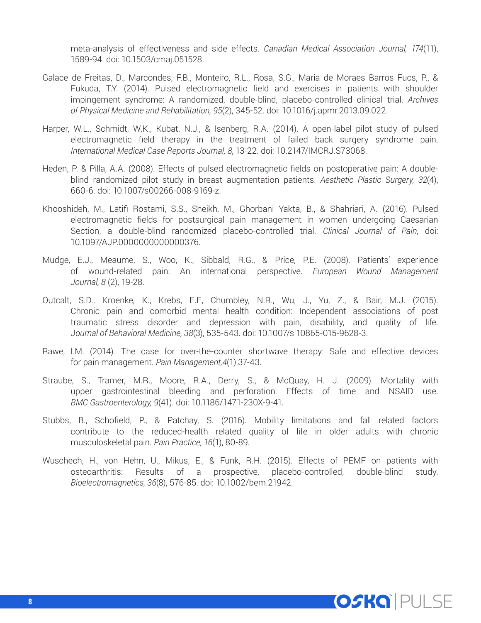meta-analysis of effectiveness and side effects. *Canadian Medical Association Journal, 174*(11), 1589-94. doi: 10.1503/cmaj.051528.

- Galace de Freitas, D., Marcondes, F.B., Monteiro, R.L., Rosa, S.G., Maria de Moraes Barros Fucs, P., & Fukuda, T.Y. (2014). Pulsed electromagnetic field and exercises in patients with shoulder impingement syndrome: A randomized, double-blind, placebo-controlled clinical trial. *Archives of Physical Medicine and Rehabilitation, 95*(2), 345-52. doi: 10.1016/j.apmr.2013.09.022.
- Harper, W.L., Schmidt, W.K., Kubat, N.J., & Isenberg, R.A. (2014). A open-label pilot study of pulsed electromagnetic field therapy in the treatment of failed back surgery syndrome pain. *International Medical Case Reports Journal, 8*, 13-22. doi: 10.2147/IMCRJ.S73068.
- Heden, P. & Pilla, A.A. (2008). Effects of pulsed electromagnetic fields on postoperative pain: A doubleblind randomized pilot study in breast augmentation patients. *Aesthetic Plastic Surgery, 32*(4), 660-6. doi: 10.1007/s00266-008-9169-z.
- Khooshideh, M., Latifi Rostami, S.S., Sheikh, M., Ghorbani Yakta, B., & Shahriari, A. (2016). Pulsed electromagnetic fields for postsurgical pain management in women undergoing Caesarian Section, a double-blind randomized placebo-controlled trial. *Clinical Journal of Pain*, doi: 10.1097/AJP.0000000000000376.
- Mudge, E.J., Meaume, S., Woo, K., Sibbald, R.G., & Price, P.E. (2008). Patients' experience of wound-related pain: An international perspective. *European Wound Management Journal, 8* (2), 19-28.
- Outcalt, S.D., Kroenke, K., Krebs, E.E, Chumbley, N.R., Wu, J., Yu, Z., & Bair, M.J. (2015). Chronic pain and comorbid mental health condition: Independent associations of post traumatic stress disorder and depression with pain, disability, and quality of life. J*ournal of Behavioral Medicine, 38*(3), 535-543. doi: 10.1007/s 10865-015-9628-3.
- Rawe, I.M. (2014). The case for over-the-counter shortwave therapy: Safe and effective devices for pain management. *Pain Management,4*(1).37-43.
- Straube, S., Tramer, M.R., Moore, R.A., Derry, S., & McQuay, H. J. (2009). Mortality with upper gastrointestinal bleeding and perforation: Effects of time and NSAID use. *BMC Gastroenterology, 9*(41). doi: 10.1186/1471-230X-9-41.
- Stubbs, B., Schofield, P., & Patchay, S. (2016). Mobility limitations and fall related factors contribute to the reduced-health related quality of life in older adults with chronic musculoskeletal pain. *Pain Practice, 16*(1), 80-89.
- Wuschech, H., von Hehn, U., Mikus, E., & Funk, R.H. (2015). Effects of PEMF on patients with osteoarthritis: Results of a prospective, placebo-controlled, double-blind study. *Bioelectromagnetics, 36*(8), 576-85. doi: 10.1002/bem.21942.

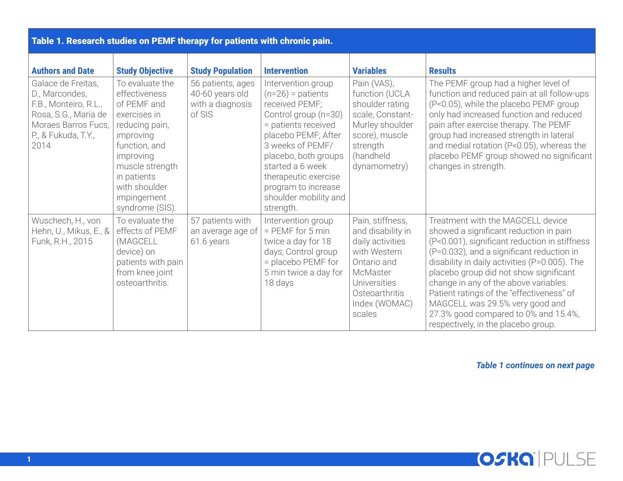| Table 1. Research studies on PEMF therapy for patients with chronic pain.                                                                   |                                                                                                                                                                                                                   |                                                                    |                                                                                                                                                                                                                                                                                        |                                                                                                                                                                   |                                                                                                                                                                                                                                                                                                                                                                                                                                                                              |  |  |  |
|---------------------------------------------------------------------------------------------------------------------------------------------|-------------------------------------------------------------------------------------------------------------------------------------------------------------------------------------------------------------------|--------------------------------------------------------------------|----------------------------------------------------------------------------------------------------------------------------------------------------------------------------------------------------------------------------------------------------------------------------------------|-------------------------------------------------------------------------------------------------------------------------------------------------------------------|------------------------------------------------------------------------------------------------------------------------------------------------------------------------------------------------------------------------------------------------------------------------------------------------------------------------------------------------------------------------------------------------------------------------------------------------------------------------------|--|--|--|
| <b>Authors and Date</b>                                                                                                                     | <b>Study Objective</b>                                                                                                                                                                                            | <b>Study Population</b>                                            | <b>Intervention</b>                                                                                                                                                                                                                                                                    | <b>Variables</b>                                                                                                                                                  | <b>Results</b>                                                                                                                                                                                                                                                                                                                                                                                                                                                               |  |  |  |
| Galace de Freitas,<br>D., Marcondes,<br>F.B., Monteiro, R.L.,<br>Rosa, S.G., Maria de<br>Moraes Barros Fucs,<br>P., & Fukuda, T.Y.,<br>2014 | To evaluate the<br>effectiveness<br>of PEMF and<br>exercises in<br>reducing pain,<br>improving<br>function, and<br>improving<br>muscle strength<br>in patients<br>with shoulder<br>impingement<br>syndrome (SIS). | 56 patients, ages<br>40-60 years old<br>with a diagnosis<br>of SIS | Intervention group<br>$(n=26)$ = patients<br>received PEMF;<br>Control group (n=30)<br>= patients received<br>placebo PEMF; After<br>3 weeks of PEMF/<br>placebo, both groups<br>started a 6 week<br>therapeutic exercise<br>program to increase<br>shoulder mobility and<br>strength. | Pain (VAS),<br>function (UCLA<br>shoulder rating<br>scale, Constant-<br>Murley shoulder<br>score), muscle<br>strength<br>(handheld<br>dynamometry)                | The PEMF group had a higher level of<br>function and reduced pain at all follow-ups<br>(P<0.05), while the placebo PEMF group<br>only had increased function and reduced<br>pain after exercise therapy. The PEMF<br>group had increased strength in lateral<br>and medial rotation (P<0.05), whereas the<br>placebo PEMF group showed no significant<br>changes in strength.                                                                                                |  |  |  |
| Wuschech, H., von<br>Hehn, U., Mikus, E., &<br>Funk, R.H., 2015                                                                             | To evaluate the<br>effects of PEMF<br>(MAGCELL<br>device) on<br>patients with pain<br>from knee joint<br>osteoarthritis.                                                                                          | 57 patients with<br>an average age of<br>61.6 years                | Intervention group<br>$=$ PEMF for 5 min<br>twice a day for 18<br>days; Control group<br>= placebo PEMF for<br>5 min twice a day for<br>18 days                                                                                                                                        | Pain, stiffness,<br>and disability in<br>daily activities<br>with Western<br>Ontario and<br>McMaster<br>Universities<br>Osteoarthritis<br>Index (WOMAC)<br>scales | Treatment with the MAGCELL device<br>showed a significant reduction in pain<br>(P<0.001), significant reduction in stiffness<br>(P=0.032), and a significant reduction in<br>disability in daily activities (P=0.005). The<br>placebo group did not show significant<br>change in any of the above variables.<br>Patient ratings of the "effectiveness" of<br>MAGCELL was 29.5% very good and<br>27.3% good compared to 0% and 15.4%,<br>respectively, in the placebo group. |  |  |  |

*Table 1 continues on next page*

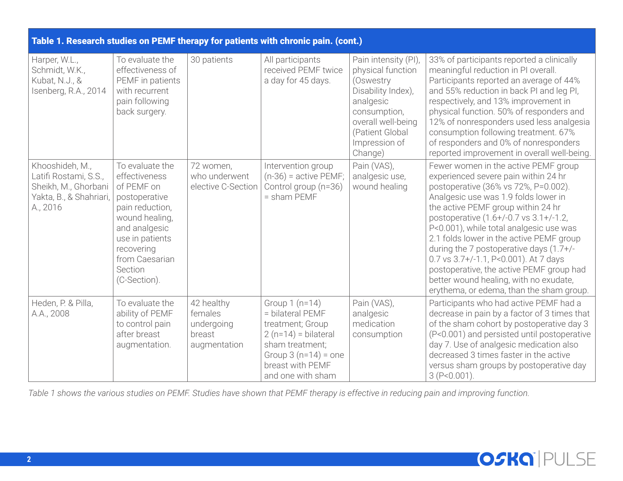| Table 1. Research studies on PEMF therapy for patients with chronic pain. (cont.)                       |                                                                                                                                                                                                     |                                                               |                                                                                                                                                                       |                                                                                                                                                                                |                                                                                                                                                                                                                                                                                                                                                                                                                                                                                                                                                           |  |  |  |
|---------------------------------------------------------------------------------------------------------|-----------------------------------------------------------------------------------------------------------------------------------------------------------------------------------------------------|---------------------------------------------------------------|-----------------------------------------------------------------------------------------------------------------------------------------------------------------------|--------------------------------------------------------------------------------------------------------------------------------------------------------------------------------|-----------------------------------------------------------------------------------------------------------------------------------------------------------------------------------------------------------------------------------------------------------------------------------------------------------------------------------------------------------------------------------------------------------------------------------------------------------------------------------------------------------------------------------------------------------|--|--|--|
| Harper, W.L.,<br>Schmidt, W.K.,<br>Kubat, N.J., &<br>Isenberg, R.A., 2014                               | To evaluate the<br>effectiveness of<br>PEMF in patients<br>with recurrent<br>pain following<br>back surgery.                                                                                        | 30 patients                                                   | All participants<br>received PEMF twice<br>a day for 45 days.                                                                                                         | Pain intensity (PI),<br>physical function<br>(Oswestry<br>Disability Index),<br>analgesic<br>consumption,<br>overall well-being<br>(Patient Global<br>Impression of<br>Change) | 33% of participants reported a clinically<br>meaningful reduction in PI overall.<br>Participants reported an average of 44%<br>and 55% reduction in back PI and leg PI,<br>respectively, and 13% improvement in<br>physical function. 50% of responders and<br>12% of nonresponders used less analgesia<br>consumption following treatment. 67%<br>of responders and 0% of nonresponders<br>reported improvement in overall well-being.                                                                                                                   |  |  |  |
| Khooshideh, M.,<br>Latifi Rostami, S.S.,<br>Sheikh, M., Ghorbani<br>Yakta, B., & Shahriari,<br>A., 2016 | To evaluate the<br>effectiveness<br>of PEMF on<br>postoperative<br>pain reduction,<br>wound healing,<br>and analgesic<br>use in patients<br>recovering<br>from Caesarian<br>Section<br>(C-Section). | 72 women,<br>who underwent<br>elective C-Section              | Intervention group<br>$(n-36)$ = active PEMF;<br>Control group (n=36)<br>$=$ sham PEMF                                                                                | Pain (VAS),<br>analgesic use,<br>wound healing                                                                                                                                 | Fewer women in the active PEMF group<br>experienced severe pain within 24 hr<br>postoperative (36% vs 72%, P=0.002).<br>Analgesic use was 1.9 folds lower in<br>the active PEMF group within 24 hr<br>postoperative (1.6+/-0.7 vs 3.1+/-1.2,<br>P<0.001), while total analgesic use was<br>2.1 folds lower in the active PEMF group<br>during the 7 postoperative days (1.7+/-<br>0.7 vs 3.7+/-1.1, P<0.001). At 7 days<br>postoperative, the active PEMF group had<br>better wound healing, with no exudate,<br>erythema, or edema, than the sham group. |  |  |  |
| Heden, P. & Pilla,<br>A.A., 2008                                                                        | To evaluate the<br>ability of PEMF<br>to control pain<br>after breast<br>augmentation.                                                                                                              | 42 healthy<br>females<br>undergoing<br>breast<br>augmentation | Group $1(n=14)$<br>= bilateral PEMF<br>treatment; Group<br>$2(n=14)$ = bilateral<br>sham treatment;<br>Group $3(n=14) =$ one<br>breast with PEMF<br>and one with sham | Pain (VAS),<br>analgesic<br>medication<br>consumption                                                                                                                          | Participants who had active PEMF had a<br>decrease in pain by a factor of 3 times that<br>of the sham cohort by postoperative day 3<br>(P<0.001) and persisted until postoperative<br>day 7. Use of analgesic medication also<br>decreased 3 times faster in the active<br>versus sham groups by postoperative day<br>$3 (P<0.001)$ .                                                                                                                                                                                                                     |  |  |  |

*Table 1 shows the various studies on PEMF. Studies have shown that PEMF therapy is effective in reducing pain and improving function.*